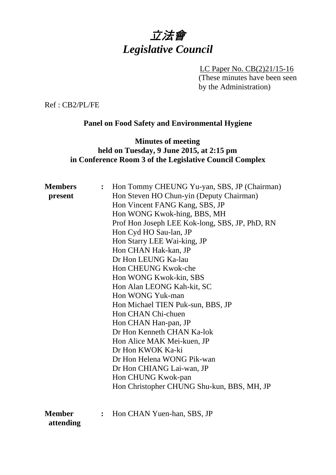# 立法會 *Legislative Council*

LC Paper No. CB(2)21/15-16 (These minutes have been seen by the Administration)

Ref : CB2/PL/FE

# **Panel on Food Safety and Environmental Hygiene**

#### **Minutes of meeting held on Tuesday, 9 June 2015, at 2:15 pm in Conference Room 3 of the Legislative Council Complex**

| Hon Tommy CHEUNG Yu-yan, SBS, JP (Chairman)<br>$\ddot{\cdot}$ |
|---------------------------------------------------------------|
| Hon Steven HO Chun-yin (Deputy Chairman)                      |
| Hon Vincent FANG Kang, SBS, JP                                |
| Hon WONG Kwok-hing, BBS, MH                                   |
| Prof Hon Joseph LEE Kok-long, SBS, JP, PhD, RN                |
| Hon Cyd HO Sau-lan, JP                                        |
| Hon Starry LEE Wai-king, JP                                   |
| Hon CHAN Hak-kan, JP                                          |
| Dr Hon LEUNG Ka-lau                                           |
| Hon CHEUNG Kwok-che                                           |
| Hon WONG Kwok-kin, SBS                                        |
| Hon Alan LEONG Kah-kit, SC                                    |
| Hon WONG Yuk-man                                              |
| Hon Michael TIEN Puk-sun, BBS, JP                             |
| Hon CHAN Chi-chuen                                            |
| Hon CHAN Han-pan, JP                                          |
| Dr Hon Kenneth CHAN Ka-lok                                    |
| Hon Alice MAK Mei-kuen, JP                                    |
| Dr Hon KWOK Ka-ki                                             |
| Dr Hon Helena WONG Pik-wan                                    |
| Dr Hon CHIANG Lai-wan, JP                                     |
| Hon CHUNG Kwok-pan                                            |
| Hon Christopher CHUNG Shu-kun, BBS, MH, JP                    |
| Hon CHAN Yuen-han, SBS, JP<br>$\ddot{\cdot}$                  |
|                                                               |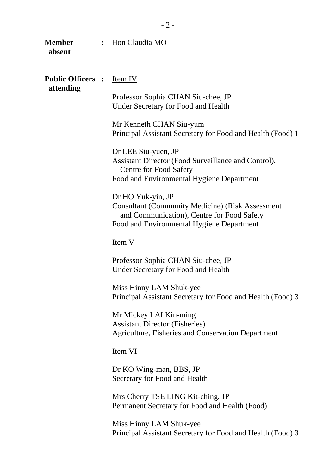| <b>Member</b><br>absent               |  | : Hon Claudia MO                                                                                                                                                        |  |
|---------------------------------------|--|-------------------------------------------------------------------------------------------------------------------------------------------------------------------------|--|
| <b>Public Officers :</b><br>attending |  | Item IV                                                                                                                                                                 |  |
|                                       |  | Professor Sophia CHAN Siu-chee, JP<br><b>Under Secretary for Food and Health</b>                                                                                        |  |
|                                       |  | Mr Kenneth CHAN Siu-yum<br>Principal Assistant Secretary for Food and Health (Food) 1                                                                                   |  |
|                                       |  | Dr LEE Siu-yuen, JP<br>Assistant Director (Food Surveillance and Control),<br><b>Centre for Food Safety</b><br>Food and Environmental Hygiene Department                |  |
|                                       |  |                                                                                                                                                                         |  |
|                                       |  | Dr HO Yuk-yin, JP<br><b>Consultant (Community Medicine) (Risk Assessment</b><br>and Communication), Centre for Food Safety<br>Food and Environmental Hygiene Department |  |
|                                       |  | Item V                                                                                                                                                                  |  |
|                                       |  | Professor Sophia CHAN Siu-chee, JP<br><b>Under Secretary for Food and Health</b>                                                                                        |  |
|                                       |  | Miss Hinny LAM Shuk-yee<br>Principal Assistant Secretary for Food and Health (Food) 3                                                                                   |  |
|                                       |  | Mr Mickey LAI Kin-ming<br><b>Assistant Director (Fisheries)</b><br><b>Agriculture, Fisheries and Conservation Department</b>                                            |  |
|                                       |  | Item VI                                                                                                                                                                 |  |
|                                       |  | Dr KO Wing-man, BBS, JP<br>Secretary for Food and Health                                                                                                                |  |
|                                       |  | Mrs Cherry TSE LING Kit-ching, JP<br>Permanent Secretary for Food and Health (Food)                                                                                     |  |
|                                       |  |                                                                                                                                                                         |  |

Miss Hinny LAM Shuk-yee Principal Assistant Secretary for Food and Health (Food) 3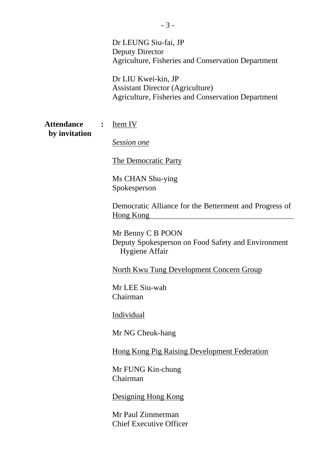Dr LEUNG Siu-fai, JP Deputy Director Agriculture, Fisheries and Conservation Department

Dr LIU Kwei-kin, JP Assistant Director (Agriculture) Agriculture, Fisheries and Conservation Department

| <b>Attendance</b> | I |
|-------------------|---|
| by invitation     |   |

**Lem IV** 

*Session one*

The Democratic Party

Ms CHAN Shu-ying Spokesperson

Democratic Alliance for the Betterment and Progress of Hong Kong

Mr Benny C B POON Deputy Spokesperson on Food Safety and Environment Hygiene Affair

North Kwu Tung Development Concern Group

Mr LEE Siu-wah Chairman

Individual

Mr NG Cheuk-hang

Hong Kong Pig Raising Development Federation

Mr FUNG Kin-chung Chairman

Designing Hong Kong

Mr Paul Zimmerman Chief Executive Officer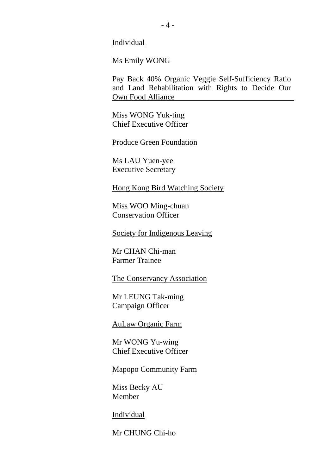Individual

Ms Emily WONG

Pay Back 40% Organic Veggie Self-Sufficiency Ratio and Land Rehabilitation with Rights to Decide Our Own Food Alliance

Miss WONG Yuk-ting Chief Executive Officer

Produce Green Foundation

Ms LAU Yuen-yee Executive Secretary

Hong Kong Bird Watching Society

Miss WOO Ming-chuan Conservation Officer

Society for Indigenous Leaving

Mr CHAN Chi-man Farmer Trainee

The Conservancy Association

Mr LEUNG Tak-ming Campaign Officer

AuLaw Organic Farm

Mr WONG Yu-wing Chief Executive Officer

Mapopo Community Farm

Miss Becky AU Member

**Individual** 

Mr CHUNG Chi-ho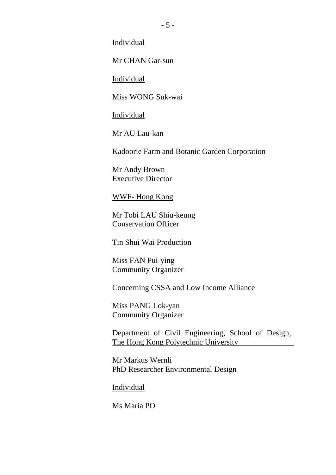Individual

Mr CHAN Gar-sun

Individual

Miss WONG Suk-wai

Individual

Mr AU Lau-kan

Kadoorie Farm and Botanic Garden Corporation

Mr Andy Brown Executive Director

WWF- Hong Kong

Mr Tobi LAU Shiu-keung Conservation Officer

Tin Shui Wai Production

Miss FAN Pui-ying Community Organizer

Concerning CSSA and Low Income Alliance

Miss PANG Lok-yan Community Organizer

Department of Civil Engineering, School of Design, The Hong Kong Polytechnic University

Mr Markus Wernli PhD Researcher Environmental Design

Individual

Ms Maria PO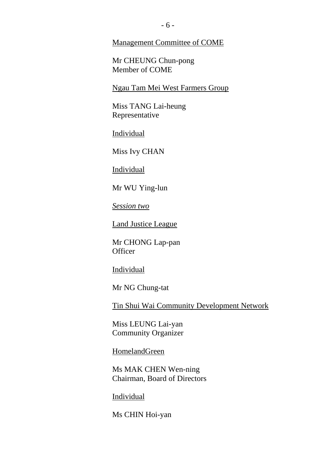Management Committee of COME

Mr CHEUNG Chun-pong Member of COME

Ngau Tam Mei West Farmers Group

Miss TANG Lai-heung Representative

Individual

Miss Ivy CHAN

Individual

Mr WU Ying-lun

*Session two*

Land Justice League

Mr CHONG Lap-pan **Officer** 

Individual

Mr NG Chung-tat

Tin Shui Wai Community Development Network

Miss LEUNG Lai-yan Community Organizer

HomelandGreen

Ms MAK CHEN Wen-ning Chairman, Board of Directors

**Individual** 

Ms CHIN Hoi-yan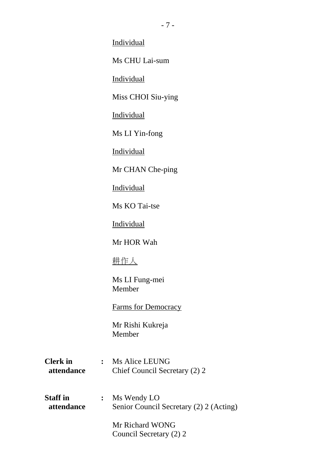**Individual** 

Ms CHU Lai-sum

Individual

Miss CHOI Siu-ying

Individual

Ms LI Yin-fong

Individual

Mr CHAN Che-ping

Individual

Ms KO Tai-tse

Individual

Mr HOR Wah

耕作人

Ms LI Fung-mei Member

Farms for Democracy

Mr Rishi Kukreja Member

- **Clerk in :** Ms Alice LEUNG **attendance** Chief Council Secretary (2) 2
- **Staff in :** Ms Wendy LO  **attendance** Senior Council Secretary (2) 2 (Acting)

Mr Richard WONG Council Secretary (2) 2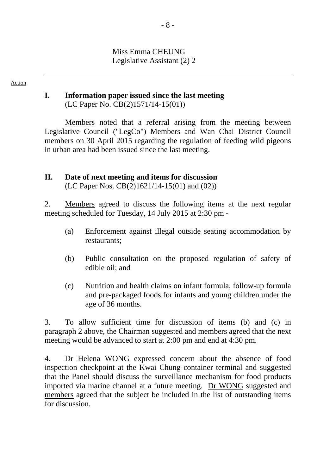#### Miss Emma CHEUNG Legislative Assistant (2) 2

#### Action

# **I. Information paper issued since the last meeting**

(LC Paper No. CB(2)1571/14-15(01))

Members noted that a referral arising from the meeting between Legislative Council ("LegCo") Members and Wan Chai District Council members on 30 April 2015 regarding the regulation of feeding wild pigeons in urban area had been issued since the last meeting.

# **II. Date of next meeting and items for discussion**

(LC Paper Nos. CB(2)1621/14-15(01) and (02))

2. Members agreed to discuss the following items at the next regular meeting scheduled for Tuesday, 14 July 2015 at 2:30 pm -

- (a) Enforcement against illegal outside seating accommodation by restaurants;
- (b) Public consultation on the proposed regulation of safety of edible oil; and
- (c) Nutrition and health claims on infant formula, follow-up formula and pre-packaged foods for infants and young children under the age of 36 months.

3. To allow sufficient time for discussion of items (b) and (c) in paragraph 2 above, the Chairman suggested and members agreed that the next meeting would be advanced to start at 2:00 pm and end at 4:30 pm.

4. Dr Helena WONG expressed concern about the absence of food inspection checkpoint at the Kwai Chung container terminal and suggested that the Panel should discuss the surveillance mechanism for food products imported via marine channel at a future meeting. Dr WONG suggested and members agreed that the subject be included in the list of outstanding items for discussion.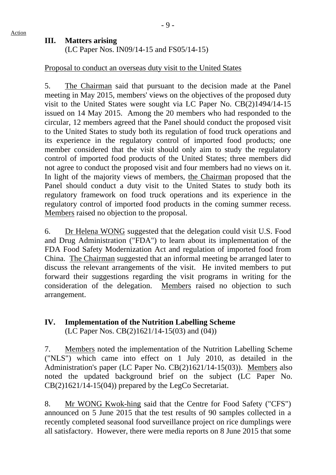#### **III. Matters arising**

(LC Paper Nos. IN09/14-15 and FS05/14-15)

## Proposal to conduct an overseas duty visit to the United States

5. The Chairman said that pursuant to the decision made at the Panel meeting in May 2015, members' views on the objectives of the proposed duty visit to the United States were sought via LC Paper No. CB(2)1494/14-15 issued on 14 May 2015. Among the 20 members who had responded to the circular, 12 members agreed that the Panel should conduct the proposed visit to the United States to study both its regulation of food truck operations and its experience in the regulatory control of imported food products; one member considered that the visit should only aim to study the regulatory control of imported food products of the United States; three members did not agree to conduct the proposed visit and four members had no views on it. In light of the majority views of members, the Chairman proposed that the Panel should conduct a duty visit to the United States to study both its regulatory framework on food truck operations and its experience in the regulatory control of imported food products in the coming summer recess. Members raised no objection to the proposal.

6. Dr Helena WONG suggested that the delegation could visit U.S. Food and Drug Administration ("FDA") to learn about its implementation of the FDA Food Safety Modernization Act and regulation of imported food from China. The Chairman suggested that an informal meeting be arranged later to discuss the relevant arrangements of the visit. He invited members to put forward their suggestions regarding the visit programs in writing for the consideration of the delegation. Members raised no objection to such arrangement.

## **IV. Implementation of the Nutrition Labelling Scheme** (LC Paper Nos. CB(2)1621/14-15(03) and (04))

7. Members noted the implementation of the Nutrition Labelling Scheme ("NLS") which came into effect on 1 July 2010, as detailed in the Administration's paper (LC Paper No. CB(2)1621/14-15(03)). Members also noted the updated background brief on the subject (LC Paper No. CB(2)1621/14-15(04)) prepared by the LegCo Secretariat.

8. Mr WONG Kwok-hing said that the Centre for Food Safety ("CFS") announced on 5 June 2015 that the test results of 90 samples collected in a recently completed seasonal food surveillance project on rice dumplings were all satisfactory. However, there were media reports on 8 June 2015 that some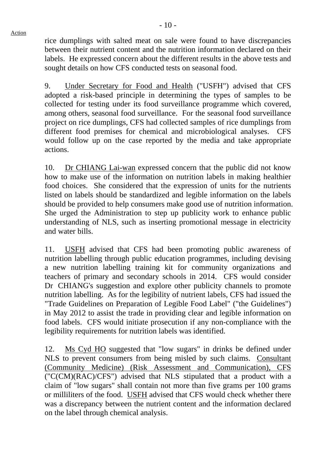rice dumplings with salted meat on sale were found to have discrepancies between their nutrient content and the nutrition information declared on their labels. He expressed concern about the different results in the above tests and sought details on how CFS conducted tests on seasonal food.

9. Under Secretary for Food and Health ("USFH") advised that CFS adopted a risk-based principle in determining the types of samples to be collected for testing under its food surveillance programme which covered, among others, seasonal food surveillance. For the seasonal food surveillance project on rice dumplings, CFS had collected samples of rice dumplings from different food premises for chemical and microbiological analyses. CFS would follow up on the case reported by the media and take appropriate actions.

10. Dr CHIANG Lai-wan expressed concern that the public did not know how to make use of the information on nutrition labels in making healthier food choices. She considered that the expression of units for the nutrients listed on labels should be standardized and legible information on the labels should be provided to help consumers make good use of nutrition information. She urged the Administration to step up publicity work to enhance public understanding of NLS, such as inserting promotional message in electricity and water bills.

11. USFH advised that CFS had been promoting public awareness of nutrition labelling through public education programmes, including devising a new nutrition labelling training kit for community organizations and teachers of primary and secondary schools in 2014. CFS would consider Dr CHIANG's suggestion and explore other publicity channels to promote nutrition labelling. As for the legibility of nutrient labels, CFS had issued the "Trade Guidelines on Preparation of Legible Food Label" ("the Guidelines") in May 2012 to assist the trade in providing clear and legible information on food labels. CFS would initiate prosecution if any non-compliance with the legibility requirements for nutrition labels was identified.

12. Ms Cyd HO suggested that "low sugars" in drinks be defined under NLS to prevent consumers from being misled by such claims. Consultant (Community Medicine) (Risk Assessment and Communication), CFS ("C(CM)(RAC)/CFS") advised that NLS stipulated that a product with a claim of "low sugars" shall contain not more than five grams per 100 grams or milliliters of the food. USFH advised that CFS would check whether there was a discrepancy between the nutrient content and the information declared on the label through chemical analysis.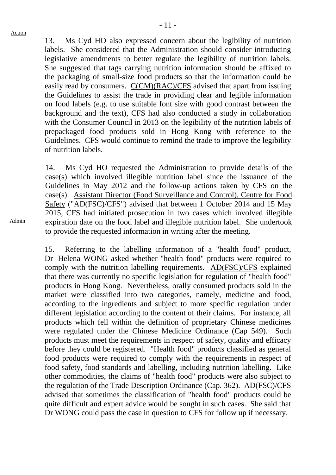13. Ms Cyd HO also expressed concern about the legibility of nutrition labels. She considered that the Administration should consider introducing legislative amendments to better regulate the legibility of nutrition labels. She suggested that tags carrying nutrition information should be affixed to the packaging of small-size food products so that the information could be easily read by consumers. C(CM)(RAC)/CFS advised that apart from issuing the Guidelines to assist the trade in providing clear and legible information on food labels (e.g. to use suitable font size with good contrast between the background and the text), CFS had also conducted a study in collaboration with the Consumer Council in 2013 on the legibility of the nutrition labels of prepackaged food products sold in Hong Kong with reference to the Guidelines. CFS would continue to remind the trade to improve the legibility of nutrition labels.

14. Ms Cyd HO requested the Administration to provide details of the case(s) which involved illegible nutrition label since the issuance of the Guidelines in May 2012 and the follow-up actions taken by CFS on the case(s). Assistant Director (Food Surveillance and Control), Centre for Food Safety ("AD(FSC)/CFS") advised that between 1 October 2014 and 15 May 2015, CFS had initiated prosecution in two cases which involved illegible expiration date on the food label and illegible nutrition label. She undertook to provide the requested information in writing after the meeting.

15. Referring to the labelling information of a "health food" product, Dr Helena WONG asked whether "health food" products were required to comply with the nutrition labelling requirements. AD(FSC)/CFS explained that there was currently no specific legislation for regulation of "health food" products in Hong Kong. Nevertheless, orally consumed products sold in the market were classified into two categories, namely, medicine and food, according to the ingredients and subject to more specific regulation under different legislation according to the content of their claims. For instance, all products which fell within the definition of proprietary Chinese medicines were regulated under the Chinese Medicine Ordinance (Cap 549). Such products must meet the requirements in respect of safety, quality and efficacy before they could be registered. "Health food" products classified as general food products were required to comply with the requirements in respect of food safety, food standards and labelling, including nutrition labelling. Like other commodities, the claims of "health food" products were also subject to the regulation of the Trade Description Ordinance (Cap. 362). AD(FSC)/CFS advised that sometimes the classification of "health food" products could be quite difficult and expert advice would be sought in such cases. She said that Dr WONG could pass the case in question to CFS for follow up if necessary.

Admin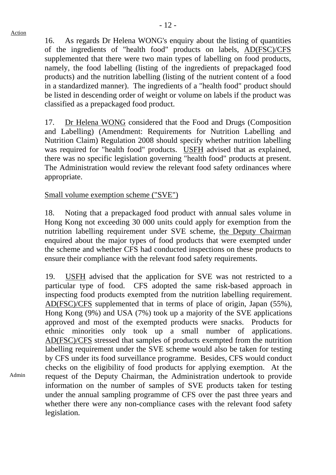Admin

16. As regards Dr Helena WONG's enquiry about the listing of quantities of the ingredients of "health food" products on labels, AD(FSC)/CFS supplemented that there were two main types of labelling on food products, namely, the food labelling (listing of the ingredients of prepackaged food products) and the nutrition labelling (listing of the nutrient content of a food in a standardized manner). The ingredients of a "health food" product should be listed in descending order of weight or volume on labels if the product was classified as a prepackaged food product.

17. Dr Helena WONG considered that the Food and Drugs (Composition and Labelling) (Amendment: Requirements for Nutrition Labelling and Nutrition Claim) Regulation 2008 should specify whether nutrition labelling was required for "health food" products. USFH advised that as explained, there was no specific legislation governing "health food" products at present. The Administration would review the relevant food safety ordinances where appropriate.

#### Small volume exemption scheme ("SVE")

18. Noting that a prepackaged food product with annual sales volume in Hong Kong not exceeding 30 000 units could apply for exemption from the nutrition labelling requirement under SVE scheme, the Deputy Chairman enquired about the major types of food products that were exempted under the scheme and whether CFS had conducted inspections on these products to ensure their compliance with the relevant food safety requirements.

19. USFH advised that the application for SVE was not restricted to a particular type of food. CFS adopted the same risk-based approach in inspecting food products exempted from the nutrition labelling requirement. AD(FSC)/CFS supplemented that in terms of place of origin, Japan (55%), Hong Kong (9%) and USA (7%) took up a majority of the SVE applications approved and most of the exempted products were snacks. Products for ethnic minorities only took up a small number of applications. AD(FSC)/CFS stressed that samples of products exempted from the nutrition labelling requirement under the SVE scheme would also be taken for testing by CFS under its food surveillance programme. Besides, CFS would conduct checks on the eligibility of food products for applying exemption. At the request of the Deputy Chairman, the Administration undertook to provide information on the number of samples of SVE products taken for testing under the annual sampling programme of CFS over the past three years and whether there were any non-compliance cases with the relevant food safety legislation.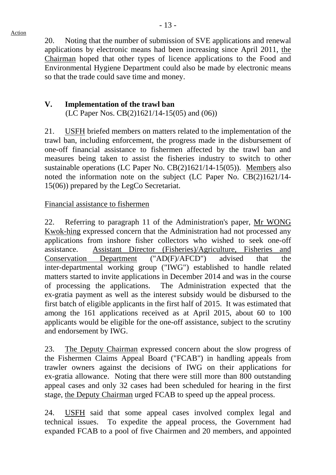20. Noting that the number of submission of SVE applications and renewal applications by electronic means had been increasing since April 2011, the Chairman hoped that other types of licence applications to the Food and Environmental Hygiene Department could also be made by electronic means so that the trade could save time and money.

# **V. Implementation of the trawl ban**

(LC Paper Nos. CB(2)1621/14-15(05) and (06))

21. USFH briefed members on matters related to the implementation of the trawl ban, including enforcement, the progress made in the disbursement of one-off financial assistance to fishermen affected by the trawl ban and measures being taken to assist the fisheries industry to switch to other sustainable operations (LC Paper No. CB(2)1621/14-15(05)). Members also noted the information note on the subject (LC Paper No. CB(2)1621/14- 15(06)) prepared by the LegCo Secretariat.

#### Financial assistance to fishermen

22. Referring to paragraph 11 of the Administration's paper, Mr WONG Kwok-hing expressed concern that the Administration had not processed any applications from inshore fisher collectors who wished to seek one-off assistance. Assistant Director (Fisheries)/Agriculture, Fisheries and Conservation Department ("AD(F)/AFCD") advised that the inter-departmental working group ("IWG") established to handle related matters started to invite applications in December 2014 and was in the course of processing the applications. The Administration expected that the ex-gratia payment as well as the interest subsidy would be disbursed to the first batch of eligible applicants in the first half of 2015. It was estimated that among the 161 applications received as at April 2015, about 60 to 100 applicants would be eligible for the one-off assistance, subject to the scrutiny and endorsement by IWG.

23. The Deputy Chairman expressed concern about the slow progress of the Fishermen Claims Appeal Board ("FCAB") in handling appeals from trawler owners against the decisions of IWG on their applications for ex-gratia allowance. Noting that there were still more than 800 outstanding appeal cases and only 32 cases had been scheduled for hearing in the first stage, the Deputy Chairman urged FCAB to speed up the appeal process.

24. USFH said that some appeal cases involved complex legal and technical issues. To expedite the appeal process, the Government had expanded FCAB to a pool of five Chairmen and 20 members, and appointed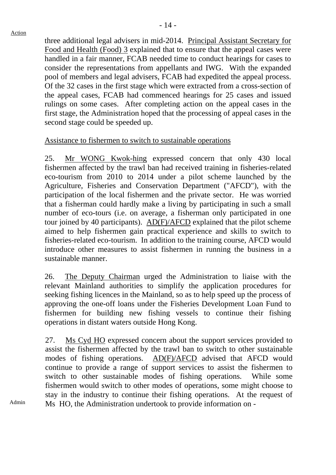three additional legal advisers in mid-2014. Principal Assistant Secretary for Food and Health (Food) 3 explained that to ensure that the appeal cases were handled in a fair manner, FCAB needed time to conduct hearings for cases to consider the representations from appellants and IWG. With the expanded pool of members and legal advisers, FCAB had expedited the appeal process. Of the 32 cases in the first stage which were extracted from a cross-section of the appeal cases, FCAB had commenced hearings for 25 cases and issued rulings on some cases. After completing action on the appeal cases in the first stage, the Administration hoped that the processing of appeal cases in the second stage could be speeded up.

#### Assistance to fishermen to switch to sustainable operations

25. Mr WONG Kwok-hing expressed concern that only 430 local fishermen affected by the trawl ban had received training in fisheries-related eco-tourism from 2010 to 2014 under a pilot scheme launched by the Agriculture, Fisheries and Conservation Department ("AFCD"), with the participation of the local fishermen and the private sector. He was worried that a fisherman could hardly make a living by participating in such a small number of eco-tours (i.e. on average, a fisherman only participated in one tour joined by 40 participants). AD(F)/AFCD explained that the pilot scheme aimed to help fishermen gain practical experience and skills to switch to fisheries-related eco-tourism. In addition to the training course, AFCD would introduce other measures to assist fishermen in running the business in a sustainable manner.

26. The Deputy Chairman urged the Administration to liaise with the relevant Mainland authorities to simplify the application procedures for seeking fishing licences in the Mainland, so as to help speed up the process of approving the one-off loans under the Fisheries Development Loan Fund to fishermen for building new fishing vessels to continue their fishing operations in distant waters outside Hong Kong.

27. Ms Cyd HO expressed concern about the support services provided to assist the fishermen affected by the trawl ban to switch to other sustainable modes of fishing operations. AD(F)/AFCD advised that AFCD would continue to provide a range of support services to assist the fishermen to switch to other sustainable modes of fishing operations. While some fishermen would switch to other modes of operations, some might choose to stay in the industry to continue their fishing operations. At the request of Ms HO, the Administration undertook to provide information on -

Admin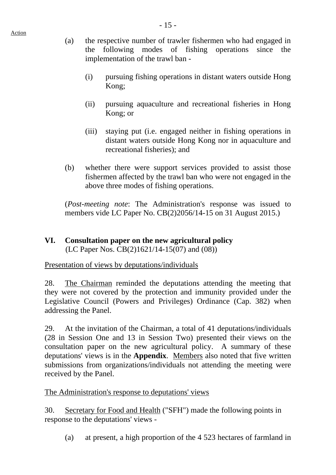- (a) the respective number of trawler fishermen who had engaged in the following modes of fishing operations since the implementation of the trawl ban -
	- (i) pursuing fishing operations in distant waters outside Hong Kong;
	- (ii) pursuing aquaculture and recreational fisheries in Hong Kong; or
	- (iii) staying put (i.e. engaged neither in fishing operations in distant waters outside Hong Kong nor in aquaculture and recreational fisheries); and
- (b) whether there were support services provided to assist those fishermen affected by the trawl ban who were not engaged in the above three modes of fishing operations.

(*Post-meeting note*: The Administration's response was issued to members vide LC Paper No. CB(2)2056/14-15 on 31 August 2015.)

# **VI. Consultation paper on the new agricultural policy** (LC Paper Nos. CB(2)1621/14-15(07) and (08))

Presentation of views by deputations/individuals

Action

28. The Chairman reminded the deputations attending the meeting that they were not covered by the protection and immunity provided under the Legislative Council (Powers and Privileges) Ordinance (Cap. 382) when addressing the Panel.

29. At the invitation of the Chairman, a total of 41 deputations/individuals (28 in Session One and 13 in Session Two) presented their views on the consultation paper on the new agricultural policy. A summary of these deputations' views is in the **Appendix**. Members also noted that five written submissions from organizations/individuals not attending the meeting were received by the Panel.

The Administration's response to deputations' views

30. Secretary for Food and Health ("SFH") made the following points in response to the deputations' views -

(a) at present, a high proportion of the 4 523 hectares of farmland in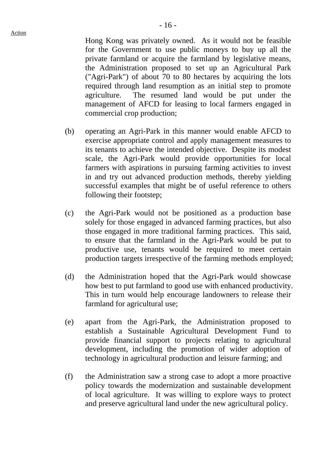Hong Kong was privately owned. As it would not be feasible for the Government to use public moneys to buy up all the private farmland or acquire the farmland by legislative means, the Administration proposed to set up an Agricultural Park ("Agri-Park") of about 70 to 80 hectares by acquiring the lots required through land resumption as an initial step to promote agriculture. The resumed land would be put under the management of AFCD for leasing to local farmers engaged in commercial crop production;

- (b) operating an Agri-Park in this manner would enable AFCD to exercise appropriate control and apply management measures to its tenants to achieve the intended objective. Despite its modest scale, the Agri-Park would provide opportunities for local farmers with aspirations in pursuing farming activities to invest in and try out advanced production methods, thereby yielding successful examples that might be of useful reference to others following their footstep;
- (c) the Agri-Park would not be positioned as a production base solely for those engaged in advanced farming practices, but also those engaged in more traditional farming practices. This said, to ensure that the farmland in the Agri-Park would be put to productive use, tenants would be required to meet certain production targets irrespective of the farming methods employed;
- (d) the Administration hoped that the Agri-Park would showcase how best to put farmland to good use with enhanced productivity. This in turn would help encourage landowners to release their farmland for agricultural use;
- (e) apart from the Agri-Park, the Administration proposed to establish a Sustainable Agricultural Development Fund to provide financial support to projects relating to agricultural development, including the promotion of wider adoption of technology in agricultural production and leisure farming; and
- (f) the Administration saw a strong case to adopt a more proactive policy towards the modernization and sustainable development of local agriculture. It was willing to explore ways to protect and preserve agricultural land under the new agricultural policy.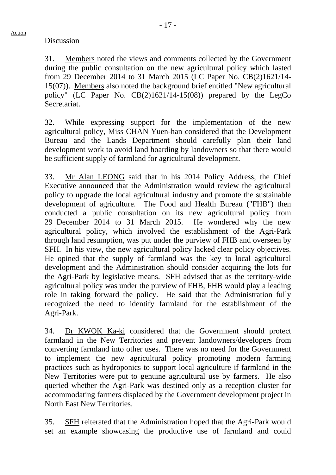31. Members noted the views and comments collected by the Government during the public consultation on the new agricultural policy which lasted from 29 December 2014 to 31 March 2015 (LC Paper No. CB(2)1621/14- 15(07)). Members also noted the background brief entitled "New agricultural policy" (LC Paper No. CB(2)1621/14-15(08)) prepared by the LegCo Secretariat.

32. While expressing support for the implementation of the new agricultural policy, Miss CHAN Yuen-han considered that the Development Bureau and the Lands Department should carefully plan their land development work to avoid land hoarding by landowners so that there would be sufficient supply of farmland for agricultural development.

33. Mr Alan LEONG said that in his 2014 Policy Address, the Chief Executive announced that the Administration would review the agricultural policy to upgrade the local agricultural industry and promote the sustainable development of agriculture. The Food and Health Bureau ("FHB") then conducted a public consultation on its new agricultural policy from 29 December 2014 to 31 March 2015. He wondered why the new agricultural policy, which involved the establishment of the Agri-Park through land resumption, was put under the purview of FHB and overseen by SFH. In his view, the new agricultural policy lacked clear policy objectives. He opined that the supply of farmland was the key to local agricultural development and the Administration should consider acquiring the lots for the Agri-Park by legislative means. SFH advised that as the territory-wide agricultural policy was under the purview of FHB, FHB would play a leading role in taking forward the policy. He said that the Administration fully recognized the need to identify farmland for the establishment of the Agri-Park.

34. Dr KWOK Ka-ki considered that the Government should protect farmland in the New Territories and prevent landowners/developers from converting farmland into other uses. There was no need for the Government to implement the new agricultural policy promoting modern farming practices such as hydroponics to support local agriculture if farmland in the New Territories were put to genuine agricultural use by farmers. He also queried whether the Agri-Park was destined only as a reception cluster for accommodating farmers displaced by the Government development project in North East New Territories.

35. SFH reiterated that the Administration hoped that the Agri-Park would set an example showcasing the productive use of farmland and could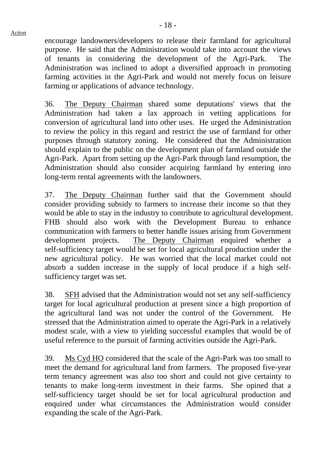encourage landowners/developers to release their farmland for agricultural purpose. He said that the Administration would take into account the views of tenants in considering the development of the Agri-Park. The Administration was inclined to adopt a diversified approach in promoting farming activities in the Agri-Park and would not merely focus on leisure farming or applications of advance technology.

36. The Deputy Chairman shared some deputations' views that the Administration had taken a lax approach in vetting applications for conversion of agricultural land into other uses. He urged the Administration to review the policy in this regard and restrict the use of farmland for other purposes through statutory zoning. He considered that the Administration should explain to the public on the development plan of farmland outside the Agri-Park. Apart from setting up the Agri-Park through land resumption, the Administration should also consider acquiring farmland by entering into long-term rental agreements with the landowners.

37. The Deputy Chairman further said that the Government should consider providing subsidy to farmers to increase their income so that they would be able to stay in the industry to contribute to agricultural development. FHB should also work with the Development Bureau to enhance communication with farmers to better handle issues arising from Government development projects. The Deputy Chairman enquired whether a self-sufficiency target would be set for local agricultural production under the new agricultural policy. He was worried that the local market could not absorb a sudden increase in the supply of local produce if a high selfsufficiency target was set.

38. SFH advised that the Administration would not set any self-sufficiency target for local agricultural production at present since a high proportion of the agricultural land was not under the control of the Government. He stressed that the Administration aimed to operate the Agri-Park in a relatively modest scale, with a view to yielding successful examples that would be of useful reference to the pursuit of farming activities outside the Agri-Park.

39. Ms Cyd HO considered that the scale of the Agri-Park was too small to meet the demand for agricultural land from farmers. The proposed five-year term tenancy agreement was also too short and could not give certainty to tenants to make long-term investment in their farms. She opined that a self-sufficiency target should be set for local agricultural production and enquired under what circumstances the Administration would consider expanding the scale of the Agri-Park.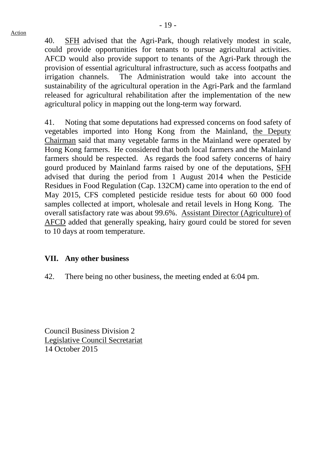#### Action

40. SFH advised that the Agri-Park, though relatively modest in scale, could provide opportunities for tenants to pursue agricultural activities. AFCD would also provide support to tenants of the Agri-Park through the provision of essential agricultural infrastructure, such as access footpaths and irrigation channels. The Administration would take into account the sustainability of the agricultural operation in the Agri-Park and the farmland released for agricultural rehabilitation after the implementation of the new agricultural policy in mapping out the long-term way forward.

41. Noting that some deputations had expressed concerns on food safety of vegetables imported into Hong Kong from the Mainland, the Deputy Chairman said that many vegetable farms in the Mainland were operated by Hong Kong farmers. He considered that both local farmers and the Mainland farmers should be respected. As regards the food safety concerns of hairy gourd produced by Mainland farms raised by one of the deputations, SFH advised that during the period from 1 August 2014 when the Pesticide Residues in Food Regulation (Cap. 132CM) came into operation to the end of May 2015, CFS completed pesticide residue tests for about 60 000 food samples collected at import, wholesale and retail levels in Hong Kong. The overall satisfactory rate was about 99.6%. Assistant Director (Agriculture) of AFCD added that generally speaking, hairy gourd could be stored for seven to 10 days at room temperature.

#### **VII. Any other business**

42. There being no other business, the meeting ended at 6:04 pm.

Council Business Division 2 Legislative Council Secretariat 14 October 2015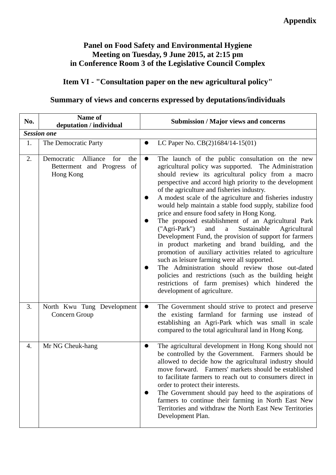## **Panel on Food Safety and Environmental Hygiene Meeting on Tuesday, 9 June 2015, at 2:15 pm in Conference Room 3 of the Legislative Council Complex**

# **Item VI - "Consultation paper on the new agricultural policy"**

# **Summary of views and concerns expressed by deputations/individuals**

| No.              | Name of<br>deputation / individual                                              | <b>Submission / Major views and concerns</b>                                                                                                                                                                                                                                                                                                                                                                                                                                                                                                                                                                                                                                                                                                                                                                                                                                                                                                                                                                    |
|------------------|---------------------------------------------------------------------------------|-----------------------------------------------------------------------------------------------------------------------------------------------------------------------------------------------------------------------------------------------------------------------------------------------------------------------------------------------------------------------------------------------------------------------------------------------------------------------------------------------------------------------------------------------------------------------------------------------------------------------------------------------------------------------------------------------------------------------------------------------------------------------------------------------------------------------------------------------------------------------------------------------------------------------------------------------------------------------------------------------------------------|
|                  | <b>Session one</b>                                                              |                                                                                                                                                                                                                                                                                                                                                                                                                                                                                                                                                                                                                                                                                                                                                                                                                                                                                                                                                                                                                 |
| 1.               | The Democratic Party                                                            | LC Paper No. CB(2)1684/14-15(01)                                                                                                                                                                                                                                                                                                                                                                                                                                                                                                                                                                                                                                                                                                                                                                                                                                                                                                                                                                                |
| 2.               | Democratic<br>Alliance<br>for<br>the<br>Betterment and Progress of<br>Hong Kong | The launch of the public consultation on the new<br>$\bullet$<br>agricultural policy was supported. The Administration<br>should review its agricultural policy from a macro<br>perspective and accord high priority to the development<br>of the agriculture and fisheries industry.<br>A modest scale of the agriculture and fisheries industry<br>would help maintain a stable food supply, stabilize food<br>price and ensure food safety in Hong Kong.<br>The proposed establishment of an Agricultural Park<br>("Agri-Park")<br>and<br>Sustainable<br>Agricultural<br>$\rm{a}$<br>Development Fund, the provision of support for farmers<br>in product marketing and brand building, and the<br>promotion of auxiliary activities related to agriculture<br>such as leisure farming were all supported.<br>The Administration should review those out-dated<br>policies and restrictions (such as the building height<br>restrictions of farm premises) which hindered the<br>development of agriculture. |
| 3.               | North Kwu Tung Development<br>Concern Group                                     | The Government should strive to protect and preserve<br>$\bullet$<br>the existing farmland for farming use instead of<br>establishing an Agri-Park which was small in scale<br>compared to the total agricultural land in Hong Kong.                                                                                                                                                                                                                                                                                                                                                                                                                                                                                                                                                                                                                                                                                                                                                                            |
| $\overline{4}$ . | Mr NG Cheuk-hang                                                                | The agricultural development in Hong Kong should not<br>be controlled by the Government. Farmers should be<br>allowed to decide how the agricultural industry should<br>move forward. Farmers' markets should be established<br>to facilitate farmers to reach out to consumers direct in<br>order to protect their interests.<br>The Government should pay heed to the aspirations of<br>farmers to continue their farming in North East New<br>Territories and withdraw the North East New Territories<br>Development Plan.                                                                                                                                                                                                                                                                                                                                                                                                                                                                                   |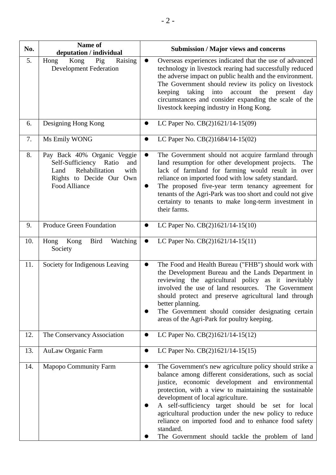| No. | Name of<br>deputation / individual                                                                                                          | <b>Submission / Major views and concerns</b>                                                                                                                                                                                                                                                                                                                                                                                                                                                                             |
|-----|---------------------------------------------------------------------------------------------------------------------------------------------|--------------------------------------------------------------------------------------------------------------------------------------------------------------------------------------------------------------------------------------------------------------------------------------------------------------------------------------------------------------------------------------------------------------------------------------------------------------------------------------------------------------------------|
| 5.  | Kong<br>Pig<br>Raising<br>Hong<br><b>Development Federation</b>                                                                             | Overseas experiences indicated that the use of advanced<br>technology in livestock rearing had successfully reduced<br>the adverse impact on public health and the environment.<br>The Government should review its policy on livestock<br>taking<br>into<br>account<br>the present<br>keeping<br>day<br>circumstances and consider expanding the scale of the<br>livestock keeping industry in Hong Kong.                                                                                                               |
| 6.  | Designing Hong Kong                                                                                                                         | LC Paper No. CB(2)1621/14-15(09)                                                                                                                                                                                                                                                                                                                                                                                                                                                                                         |
| 7.  | Ms Emily WONG                                                                                                                               | LC Paper No. CB(2)1684/14-15(02)<br>0                                                                                                                                                                                                                                                                                                                                                                                                                                                                                    |
| 8.  | Pay Back 40% Organic Veggie<br>Self-Sufficiency Ratio<br>and<br>Rehabilitation<br>with<br>Land<br>Rights to Decide Our Own<br>Food Alliance | The Government should not acquire farmland through<br>$\bullet$<br>land resumption for other development projects.<br>The<br>lack of farmland for farming would result in over<br>reliance on imported food with low safety standard.<br>The proposed five-year term tenancy agreement for<br>tenants of the Agri-Park was too short and could not give<br>certainty to tenants to make long-term investment in<br>their farms.                                                                                          |
| 9.  | <b>Produce Green Foundation</b>                                                                                                             | LC Paper No. CB(2)1621/14-15(10)                                                                                                                                                                                                                                                                                                                                                                                                                                                                                         |
| 10. | Kong<br><b>Bird</b><br>Watching<br>Hong<br>Society                                                                                          | LC Paper No. CB(2)1621/14-15(11)                                                                                                                                                                                                                                                                                                                                                                                                                                                                                         |
| 11. | Society for Indigenous Leaving                                                                                                              | The Food and Health Bureau ("FHB") should work with<br>the Development Bureau and the Lands Department in<br>reviewing the agricultural policy as it inevitably<br>involved the use of land resources. The Government<br>should protect and preserve agricultural land through<br>better planning.<br>The Government should consider designating certain<br>areas of the Agri-Park for poultry keeping.                                                                                                                  |
| 12. | The Conservancy Association                                                                                                                 | LC Paper No. CB(2)1621/14-15(12)                                                                                                                                                                                                                                                                                                                                                                                                                                                                                         |
| 13. | <b>AuLaw Organic Farm</b>                                                                                                                   | LC Paper No. CB(2)1621/14-15(15)<br>$\bullet$                                                                                                                                                                                                                                                                                                                                                                                                                                                                            |
| 14. | <b>Mapopo Community Farm</b>                                                                                                                | The Government's new agriculture policy should strike a<br>$\bullet$<br>balance among different considerations, such as social<br>justice, economic development and environmental<br>protection, with a view to maintaining the sustainable<br>development of local agriculture.<br>A self-sufficiency target should be set for local<br>agricultural production under the new policy to reduce<br>reliance on imported food and to enhance food safety<br>standard.<br>The Government should tackle the problem of land |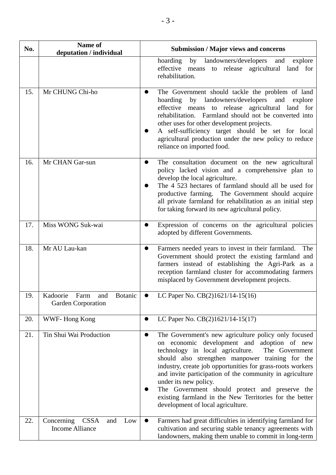| No. | Name of<br>deputation / individual                                | <b>Submission / Major views and concerns</b>                                                                                                                                                                                                                                                                                                                                                                                                                                                                                       |
|-----|-------------------------------------------------------------------|------------------------------------------------------------------------------------------------------------------------------------------------------------------------------------------------------------------------------------------------------------------------------------------------------------------------------------------------------------------------------------------------------------------------------------------------------------------------------------------------------------------------------------|
|     |                                                                   | hoarding<br>by<br>landowners/developers<br>and<br>explore<br>effective<br>means to release agricultural land for<br>rehabilitation.                                                                                                                                                                                                                                                                                                                                                                                                |
| 15. | Mr CHUNG Chi-ho                                                   | The Government should tackle the problem of land<br>hoarding by landowners/developers and explore<br>effective means to release agricultural land for<br>rehabilitation. Farmland should not be converted into<br>other uses for other development projects.<br>A self-sufficiency target should be set for local<br>agricultural production under the new policy to reduce<br>reliance on imported food.                                                                                                                          |
| 16. | Mr CHAN Gar-sun                                                   | The consultation document on the new agricultural<br>policy lacked vision and a comprehensive plan to<br>develop the local agriculture.<br>The 4 523 hectares of farmland should all be used for<br>productive farming. The Government should acquire<br>all private farmland for rehabilitation as an initial step<br>for taking forward its new agricultural policy.                                                                                                                                                             |
| 17. | Miss WONG Suk-wai                                                 | Expression of concerns on the agricultural policies<br>adopted by different Governments.                                                                                                                                                                                                                                                                                                                                                                                                                                           |
| 18. | Mr AU Lau-kan                                                     | Farmers needed years to invest in their farmland.<br>The<br>$\bullet$<br>Government should protect the existing farmland and<br>farmers instead of establishing the Agri-Park as a<br>reception farmland cluster for accommodating farmers<br>misplaced by Government development projects.                                                                                                                                                                                                                                        |
| 19. | Kadoorie<br>Farm<br>and<br><b>Botanic</b><br>Garden Corporation   | LC Paper No. $CB(2)1621/14-15(16)$                                                                                                                                                                                                                                                                                                                                                                                                                                                                                                 |
| 20. | WWF-Hong Kong                                                     | LC Paper No. CB(2)1621/14-15(17)                                                                                                                                                                                                                                                                                                                                                                                                                                                                                                   |
| 21. | Tin Shui Wai Production                                           | The Government's new agriculture policy only focused<br>$\bullet$<br>on economic development and<br>adoption of new<br>technology in local agriculture.<br>The Government<br>should also strengthen manpower training for the<br>industry, create job opportunities for grass-roots workers<br>and invite participation of the community in agriculture<br>under its new policy.<br>The Government should protect and preserve the<br>existing farmland in the New Territories for the better<br>development of local agriculture. |
| 22. | <b>CSSA</b><br>Concerning<br>and<br>Low<br><b>Income Alliance</b> | Farmers had great difficulties in identifying farmland for<br>$\bullet$<br>cultivation and securing stable tenancy agreements with<br>landowners, making them unable to commit in long-term                                                                                                                                                                                                                                                                                                                                        |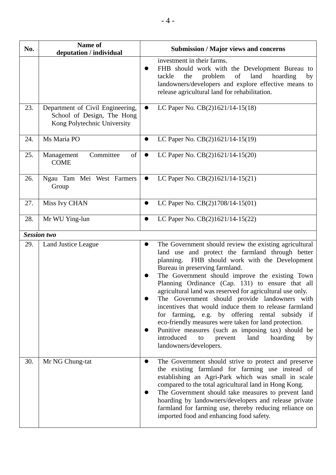| No. | Name of<br>deputation / individual                                                            | <b>Submission / Major views and concerns</b>                                                                                                                                                                                                                                                                                                                                                                                                                                                                                                                                                                                                                                                                                      |
|-----|-----------------------------------------------------------------------------------------------|-----------------------------------------------------------------------------------------------------------------------------------------------------------------------------------------------------------------------------------------------------------------------------------------------------------------------------------------------------------------------------------------------------------------------------------------------------------------------------------------------------------------------------------------------------------------------------------------------------------------------------------------------------------------------------------------------------------------------------------|
|     |                                                                                               | investment in their farms.<br>FHB should work with the Development Bureau to<br>of<br>problem<br>land<br>hoarding<br>tackle<br>the<br>by<br>landowners/developers and explore effective means to<br>release agricultural land for rehabilitation.                                                                                                                                                                                                                                                                                                                                                                                                                                                                                 |
| 23. | Department of Civil Engineering,<br>School of Design, The Hong<br>Kong Polytechnic University | LC Paper No. CB(2)1621/14-15(18)<br>$\bullet$                                                                                                                                                                                                                                                                                                                                                                                                                                                                                                                                                                                                                                                                                     |
| 24. | Ms Maria PO                                                                                   | LC Paper No. CB(2)1621/14-15(19)                                                                                                                                                                                                                                                                                                                                                                                                                                                                                                                                                                                                                                                                                                  |
| 25. | Committee<br>of<br>Management<br><b>COME</b>                                                  | LC Paper No. CB(2)1621/14-15(20)<br>$\bullet$                                                                                                                                                                                                                                                                                                                                                                                                                                                                                                                                                                                                                                                                                     |
| 26. | Ngau Tam Mei West Farmers<br>Group                                                            | LC Paper No. CB(2)1621/14-15(21)<br>$\bullet$                                                                                                                                                                                                                                                                                                                                                                                                                                                                                                                                                                                                                                                                                     |
| 27. | Miss Ivy CHAN                                                                                 | LC Paper No. CB(2)1708/14-15(01)<br>$\bullet$                                                                                                                                                                                                                                                                                                                                                                                                                                                                                                                                                                                                                                                                                     |
| 28. | Mr WU Ying-lun                                                                                | LC Paper No. CB(2)1621/14-15(22)<br>$\bullet$                                                                                                                                                                                                                                                                                                                                                                                                                                                                                                                                                                                                                                                                                     |
|     | <b>Session two</b>                                                                            |                                                                                                                                                                                                                                                                                                                                                                                                                                                                                                                                                                                                                                                                                                                                   |
| 29. | Land Justice League                                                                           | The Government should review the existing agricultural<br>land use and protect the farmland through better<br>planning. FHB should work with the Development<br>Bureau in preserving farmland.<br>The Government should improve the existing Town<br>Planning Ordinance (Cap. 131) to ensure that all<br>agricultural land was reserved for agricultural use only.<br>The Government should provide landowners with<br>incentives that would induce them to release farmland<br>for farming, e.g. by offering rental subsidy if<br>eco-friendly measures were taken for land protection.<br>Punitive measures (such as imposing tax) should be<br>introduced<br>land<br>to<br>prevent<br>hoarding<br>by<br>landowners/developers. |
| 30. | Mr NG Chung-tat                                                                               | The Government should strive to protect and preserve<br>$\bullet$<br>the existing farmland for farming use instead of<br>establishing an Agri-Park which was small in scale<br>compared to the total agricultural land in Hong Kong.<br>The Government should take measures to prevent land<br>hoarding by landowners/developers and release private<br>farmland for farming use, thereby reducing reliance on<br>imported food and enhancing food safety.                                                                                                                                                                                                                                                                        |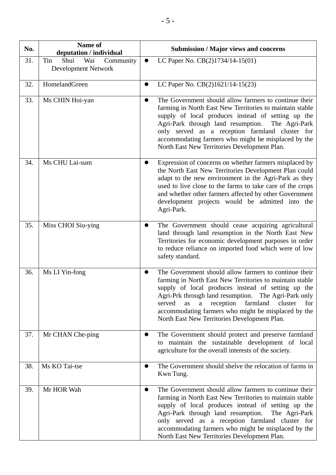| No. | Name of<br>deputation / individual                     | <b>Submission / Major views and concerns</b>                                                                                                                                                                                                                                                                                                                                                                      |
|-----|--------------------------------------------------------|-------------------------------------------------------------------------------------------------------------------------------------------------------------------------------------------------------------------------------------------------------------------------------------------------------------------------------------------------------------------------------------------------------------------|
| 31. | Shui<br>Tin<br>Wai<br>Community<br>Development Network | LC Paper No. CB(2)1734/14-15(01)                                                                                                                                                                                                                                                                                                                                                                                  |
| 32. | HomelandGreen                                          | LC Paper No. CB(2)1621/14-15(23)<br>$\bullet$                                                                                                                                                                                                                                                                                                                                                                     |
| 33. | Ms CHIN Hoi-yan                                        | The Government should allow farmers to continue their<br>0<br>farming in North East New Territories to maintain stable<br>supply of local produces instead of setting up the<br>Agri-Park through land resumption. The Agri-Park<br>only served as a reception farmland cluster for<br>accommodating farmers who might be misplaced by the<br>North East New Territories Development Plan.                        |
| 34. | Ms CHU Lai-sum                                         | Expression of concerns on whether farmers misplaced by<br>the North East New Territories Development Plan could<br>adapt to the new environment in the Agri-Park as they<br>used to live close to the farms to take care of the crops<br>and whether other farmers affected by other Government<br>development projects would be admitted into the<br>Agri-Park.                                                  |
| 35. | Miss CHOI Siu-ying                                     | The Government should cease acquiring agricultural<br>$\bullet$<br>land through land resumption in the North East New<br>Territories for economic development purposes in order<br>to reduce reliance on imported food which were of low<br>safety standard.                                                                                                                                                      |
| 36. | Ms LI Yin-fong                                         | The Government should allow farmers to continue their<br>farming in North East New Territories to maintain stable<br>supply of local produces instead of setting up the<br>Agri-Prk through land resumption. The Agri-Park only<br>farmland<br>reception<br>served<br>as<br>$\mathbf{a}$<br>cluster<br>for<br>accommodating farmers who might be misplaced by the<br>North East New Territories Development Plan. |
| 37. | Mr CHAN Che-ping                                       | The Government should protect and preserve farmland<br>to maintain the sustainable development of local<br>agriculture for the overall interests of the society.                                                                                                                                                                                                                                                  |
| 38. | Ms KO Tai-tse                                          | The Government should shelve the relocation of farms in<br>Kwn Tung.                                                                                                                                                                                                                                                                                                                                              |
| 39. | Mr HOR Wah                                             | The Government should allow farmers to continue their<br>farming in North East New Territories to maintain stable<br>supply of local produces instead of setting up the<br>Agri-Park through land resumption.<br>The Agri-Park<br>only served as a reception farmland cluster for<br>accommodating farmers who might be misplaced by the<br>North East New Territories Development Plan.                          |